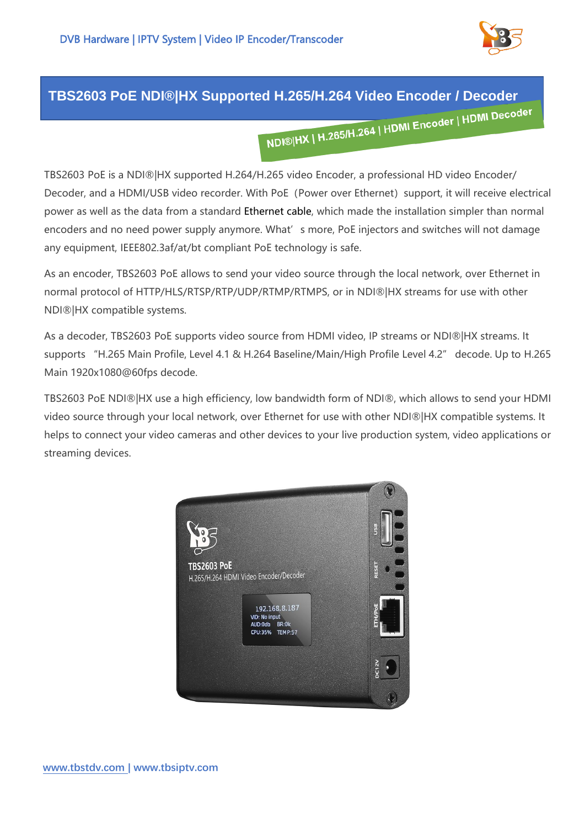

## **TBS2603 PoE NDI®|HX Supported H.265/H.264 Video Encoder / Decoder**

TBS2603 PoE is a NDI®|HX supported H.264/H.265 video Encoder, a professional HD video Encoder/ Decoder, and a HDMI/USB video recorder. With PoE (Power over Ethernet) support, it will receive electrical power as well as the data from a standard Ethernet cable, which made the installation simpler than normal encoders and no need power supply anymore. What's more, PoE injectors and switches will not damage any equipment, IEEE802.3af/at/bt compliant PoE technology is safe.

As an encoder, TBS2603 PoE allows to send your video source through the local network, over Ethernet in normal protocol of HTTP/HLS/RTSP/RTP/UDP/RTMP/RTMPS, or in NDI®|HX streams for use with other NDI®|HX compatible systems.

As a decoder, TBS2603 PoE supports video source from HDMI video, IP streams or NDI®|HX streams. It supports "H.265 Main Profile, Level 4.1 & H.264 Baseline/Main/High Profile Level 4.2" decode. Up to H.265 Main 1920x1080@60fps decode.

TBS2603 PoE NDI®|HX use a high efficiency, low bandwidth form of NDI®, which allows to send your HDMI video source through your local network, over Ethernet for use with other NDI®|HX compatible systems. It helps to connect your video cameras and other devices to your live production system, video applications or streaming devices.

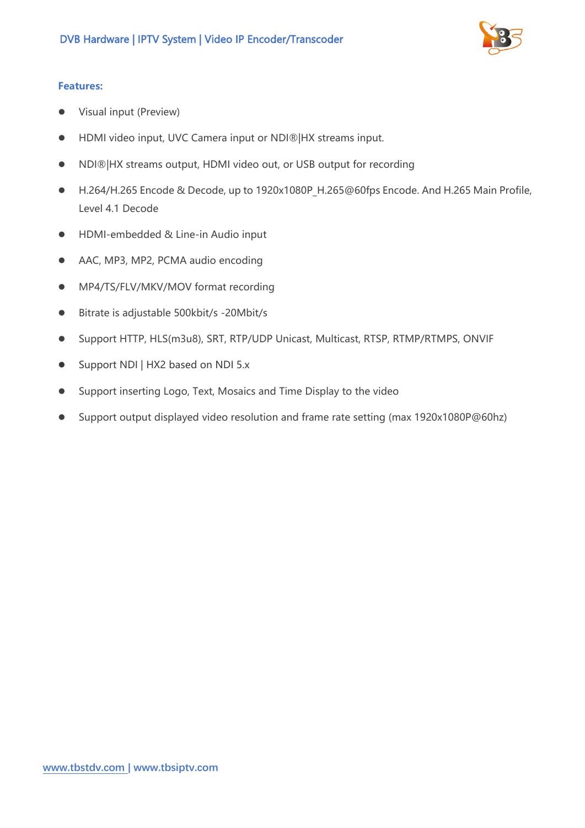

## **Features:**

- ⚫ Visual input (Preview)
- HDMI video input, UVC Camera input or NDI®|HX streams input.
- NDI®|HX streams output, HDMI video out, or USB output for recording
- H.264/H.265 Encode & Decode, up to 1920x1080P H.265@60fps Encode. And H.265 Main Profile, Level 4.1 Decode
- HDMI-embedded & Line-in Audio input
- AAC, MP3, MP2, PCMA audio encoding
- MP4/TS/FLV/MKV/MOV format recording
- Bitrate is adjustable 500kbit/s -20Mbit/s
- ⚫ Support HTTP, HLS(m3u8), SRT, RTP/UDP Unicast, Multicast, RTSP, RTMP/RTMPS, ONVIF
- Support NDI | HX2 based on NDI 5.x
- ⚫ Support inserting Logo, Text, Mosaics and Time Display to the video
- Support output displayed video resolution and frame rate setting (max 1920x1080P@60hz)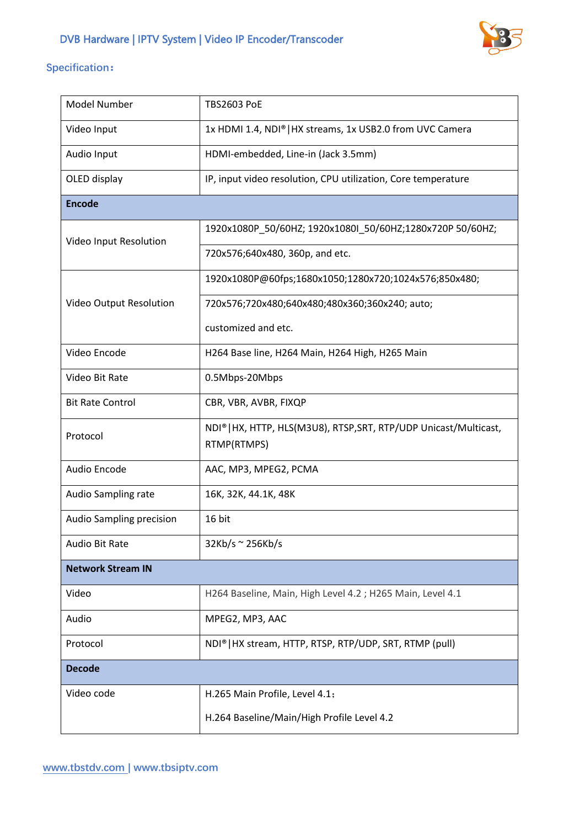

## **Specification:**

| <b>Model Number</b>      | <b>TBS2603 PoE</b>                                                               |
|--------------------------|----------------------------------------------------------------------------------|
| Video Input              | 1x HDMI 1.4, NDI®   HX streams, 1x USB2.0 from UVC Camera                        |
| Audio Input              | HDMI-embedded, Line-in (Jack 3.5mm)                                              |
| OLED display             | IP, input video resolution, CPU utilization, Core temperature                    |
| <b>Encode</b>            |                                                                                  |
| Video Input Resolution   | 1920x1080P 50/60HZ; 1920x1080I 50/60HZ;1280x720P 50/60HZ;                        |
|                          | 720x576;640x480, 360p, and etc.                                                  |
| Video Output Resolution  | 1920x1080P@60fps;1680x1050;1280x720;1024x576;850x480;                            |
|                          | 720x576;720x480;640x480;480x360;360x240; auto;                                   |
|                          | customized and etc.                                                              |
| Video Encode             | H264 Base line, H264 Main, H264 High, H265 Main                                  |
| Video Bit Rate           | 0.5Mbps-20Mbps                                                                   |
| <b>Bit Rate Control</b>  | CBR, VBR, AVBR, FIXQP                                                            |
| Protocol                 | NDI®   HX, HTTP, HLS(M3U8), RTSP, SRT, RTP/UDP Unicast/Multicast,<br>RTMP(RTMPS) |
| Audio Encode             | AAC, MP3, MPEG2, PCMA                                                            |
| Audio Sampling rate      | 16K, 32K, 44.1K, 48K                                                             |
| Audio Sampling precision | 16 bit                                                                           |
| Audio Bit Rate           | $32Kb/s \approx 256Kb/s$                                                         |
| <b>Network Stream IN</b> |                                                                                  |
| Video                    | H264 Baseline, Main, High Level 4.2 ; H265 Main, Level 4.1                       |
| Audio                    | MPEG2, MP3, AAC                                                                  |
| Protocol                 | NDI®   HX stream, HTTP, RTSP, RTP/UDP, SRT, RTMP (pull)                          |
| <b>Decode</b>            |                                                                                  |
| Video code               | H.265 Main Profile, Level 4.1;                                                   |
|                          | H.264 Baseline/Main/High Profile Level 4.2                                       |